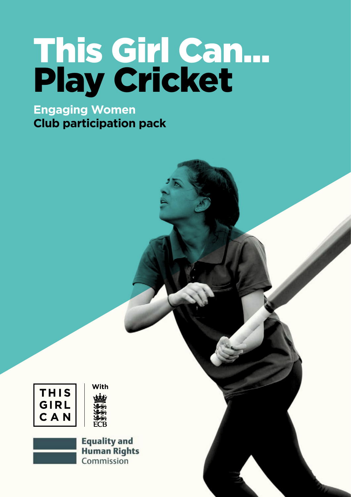## This Girl Can... Play Cricket

### **Engaging Women Club participation pack**

| THISI |
|-------|
| GIRL  |
| C A N |



**Equality and Human Rights** Commission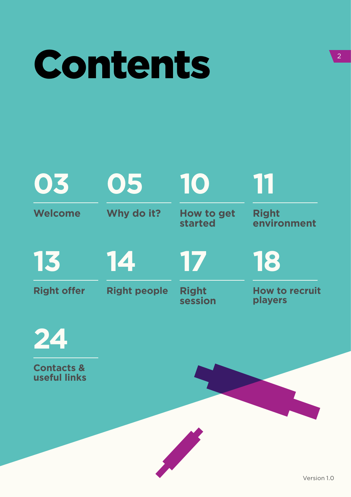## Contents

#### **Welcome 03 13 Why do it? 05 14 How to get started 10 17 Right environment 11 18**

**Right offer**

**Right people**

**Right session**

**How to recruit players**



**Contacts & useful links**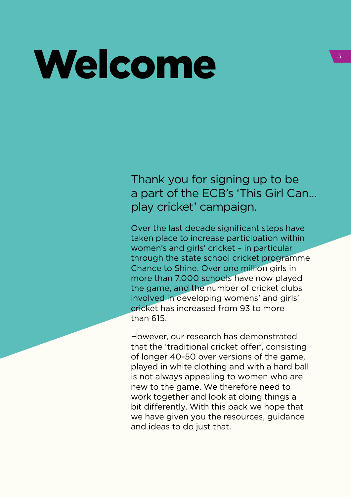## Welcome

Thank you for signing up to be a part of the ECB's 'This Girl Can… play cricket' campaign.

Over the last decade significant steps have taken place to increase participation within women's and girls' cricket – in particular through the state school cricket programme Chance to Shine. Over one million girls in more than 7,000 schools have now played the game, and the number of cricket clubs involved in developing womens' and girls' cricket has increased from 93 to more than 615.

However, our research has demonstrated that the 'traditional cricket offer', consisting of longer 40-50 over versions of the game, played in white clothing and with a hard ball is not always appealing to women who are new to the game. We therefore need to work together and look at doing things a bit differently. With this pack we hope that we have given you the resources, guidance and ideas to do just that.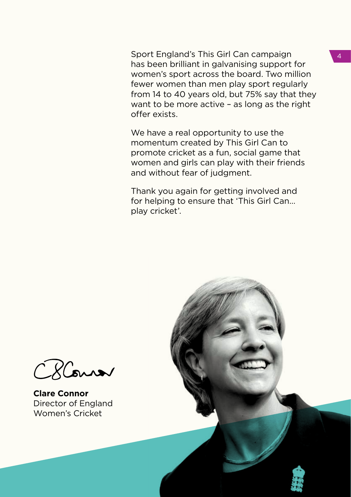Sport England's This Girl Can campaign has been brilliant in galvanising support for women's sport across the board. Two million fewer women than men play sport regularly from 14 to 40 years old, but 75% say that they want to be more active – as long as the right offer exists.

We have a real opportunity to use the momentum created by This Girl Can to promote cricket as a fun, social game that women and girls can play with their friends and without fear of judgment.

Thank you again for getting involved and for helping to ensure that 'This Girl Can… play cricket'.



**Clare Connor** Director of England Women's Cricket

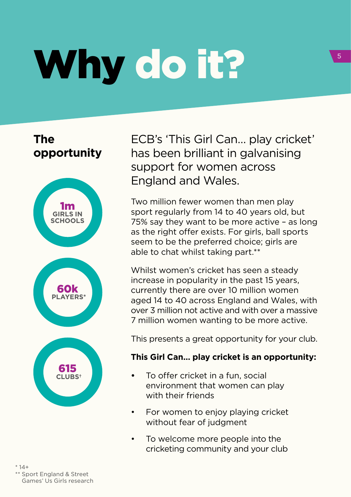# Why do it?

**The opportunity**



 $* 14 +$ \* Sport England & Street Games' Us Girls research ECB's 'This Girl Can… play cricket' has been brilliant in galvanising support for women across England and Wales.

Two million fewer women than men play sport regularly from 14 to 40 years old, but 75% say they want to be more active – as long as the right offer exists. For girls, ball sports seem to be the preferred choice; girls are able to chat whilst taking part.\*\*

Whilst women's cricket has seen a steady increase in popularity in the past 15 years, currently there are over 10 million women aged 14 to 40 across England and Wales, with over 3 million not active and with over a massive 7 million women wanting to be more active.

This presents a great opportunity for your club.

#### **This Girl Can… play cricket is an opportunity:**

- To offer cricket in a fun, social environment that women can play with their friends
- For women to enjoy playing cricket without fear of judgment
- To welcome more people into the cricketing community and your club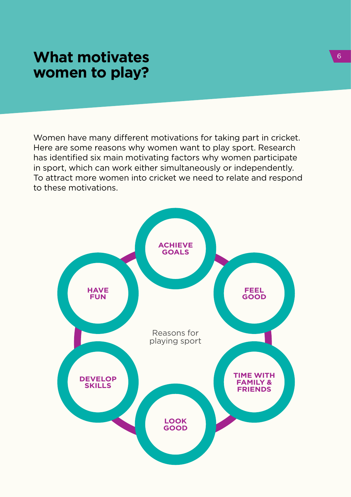## **What motivates <b>What motivates What motivates**

Women have many different motivations for taking part in cricket. Here are some reasons why women want to play sport. Research has identified six main motivating factors why women participate in sport, which can work either simultaneously or independently. To attract more women into cricket we need to relate and respond to these motivations.

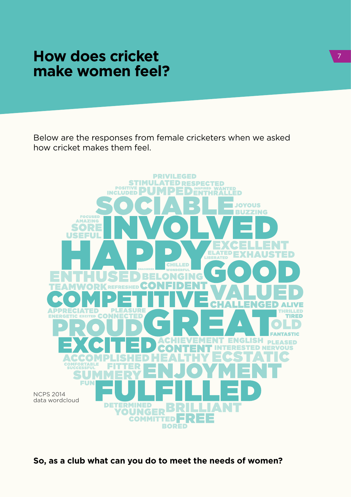## **How does cricket make women feel?**

Below are the responses from female cricketers when we asked how cricket makes them feel.



**So, as a club what can you do to meet the needs of women?**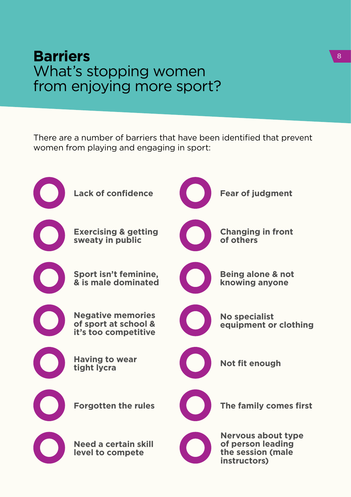## **Barriers** What's stopping women from enjoying more sport?

There are a number of barriers that have been identified that prevent women from playing and engaging in sport:

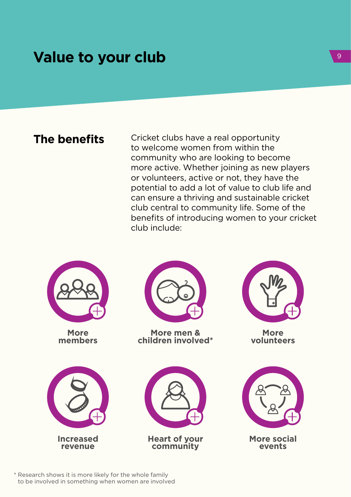## **Value to your club**

**The benefits** Cricket clubs have a real opportunity to welcome women from within the community who are looking to become more active. Whether joining as new players or volunteers, active or not, they have the potential to add a lot of value to club life and can ensure a thriving and sustainable cricket club central to community life. Some of the benefits of introducing women to your cricket club include:



**More members**





**More men & children involved\***

**Heart of your community**



**More volunteers**



\* Research shows it is more likely for the whole family to be involved in something when women are involved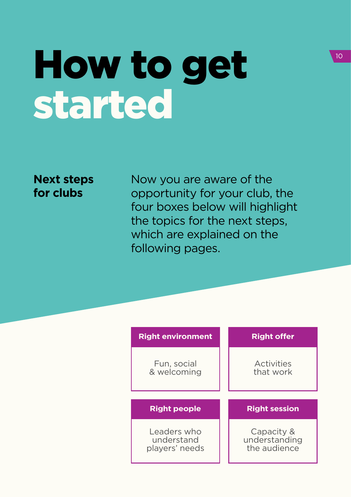## How to get started

### **Next steps for clubs**

Now you are aware of the opportunity for your club, the four boxes below will highlight the topics for the next steps, which are explained on the following pages.

| <b>Right environment</b>   | <b>Right offer</b>      |
|----------------------------|-------------------------|
| Fun, social<br>& welcoming | Activities<br>that work |
|                            |                         |
|                            |                         |
| <b>Right people</b>        | <b>Right session</b>    |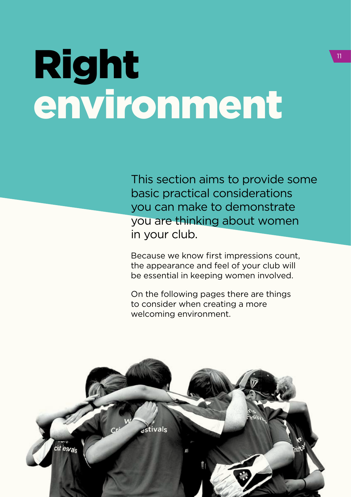## Right environment

This section aims to provide some basic practical considerations you can make to demonstrate you are thinking about women in your club.

Because we know first impressions count, the appearance and feel of your club will be essential in keeping women involved.

On the following pages there are things to consider when creating a more welcoming environment.

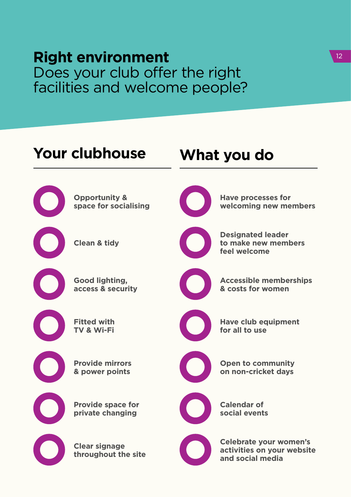### **Right environment** Does your club offer the right facilities and welcome people?

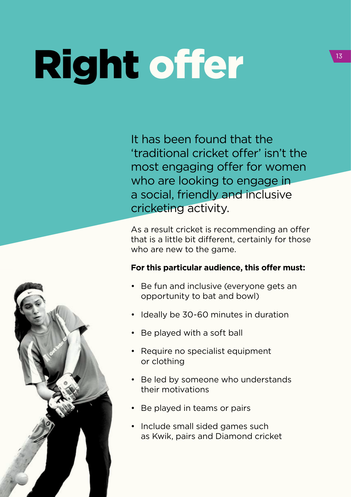# Right offer

It has been found that the 'traditional cricket offer' isn't the most engaging offer for women who are looking to engage in a social, friendly and inclusive cricketing activity.

As a result cricket is recommending an offer that is a little bit different, certainly for those who are new to the game.

#### **For this particular audience, this offer must:**

- Be fun and inclusive (everyone gets an opportunity to bat and bowl)
- Ideally be 30-60 minutes in duration
- Be played with a soft ball
- Require no specialist equipment or clothing
- Be led by someone who understands their motivations
- Be played in teams or pairs
- Include small sided games such as Kwik, pairs and Diamond cricket

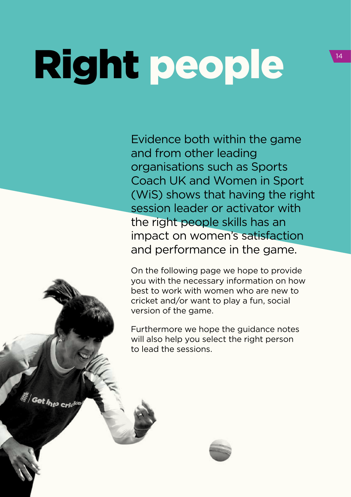# Right people

**Set Into crid<sup>e</sup>** 

Evidence both within the game and from other leading organisations such as Sports Coach UK and Women in Sport (WiS) shows that having the right session leader or activator with the right people skills has an impact on women's satisfaction and performance in the game.

On the following page we hope to provide you with the necessary information on how best to work with women who are new to cricket and/or want to play a fun, social version of the game.

Furthermore we hope the guidance notes will also help you select the right person to lead the sessions.

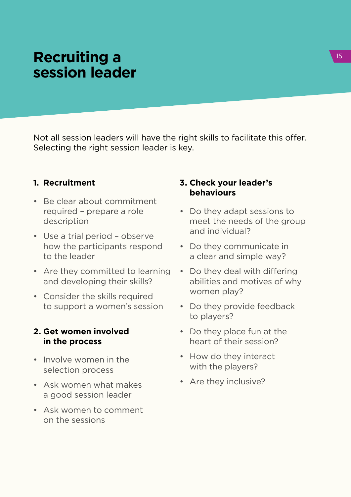## **Recruiting a session leader**

Not all session leaders will have the right skills to facilitate this offer. Selecting the right session leader is key.

#### **1. Recruitment**

- Be clear about commitment required – prepare a role description
- Use a trial period observe how the participants respond to the leader
- Are they committed to learning and developing their skills?
- Consider the skills required to support a women's session

#### **2. Get women involved in the process**

- Involve women in the selection process
- Ask women what makes a good session leader
- Ask women to comment on the sessions

#### **3. Check your leader's behaviours**

- Do they adapt sessions to meet the needs of the group and individual?
- Do they communicate in a clear and simple way?
- Do they deal with differing abilities and motives of why women play?
- Do they provide feedback to players?
- Do they place fun at the heart of their session?
- How do they interact with the players?
- Are they inclusive?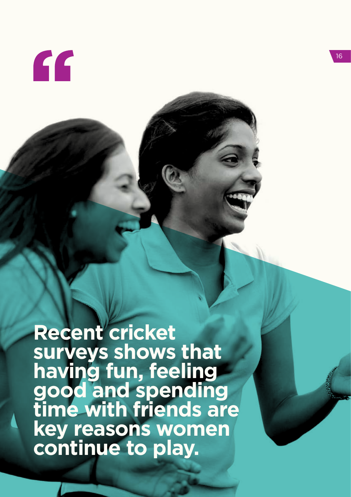

**Recent cricket surveys shows that having fun, feeling good and spending time with friends are key reasons women continue to play.**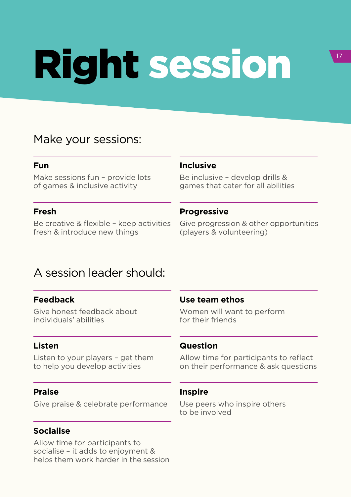# Right session

### Make your sessions:

#### **Fun**

Make sessions fun – provide lots of games & inclusive activity

#### **Fresh**

Be creative & flexible – keep activities fresh & introduce new things

#### **Inclusive**

Be inclusive – develop drills & games that cater for all abilities

#### **Progressive**

Give progression & other opportunities (players & volunteering)

### A session leader should:

#### **Feedback**

Give honest feedback about individuals' abilities

#### **Listen**

Listen to your players – get them to help you develop activities

#### **Praise**

Give praise & celebrate performance

#### **Socialise**

Allow time for participants to socialise – it adds to enjoyment & helps them work harder in the session

#### **Use team ethos**

Women will want to perform for their friends

#### **Question**

Allow time for participants to reflect on their performance & ask questions

#### **Inspire**

Use peers who inspire others to be involved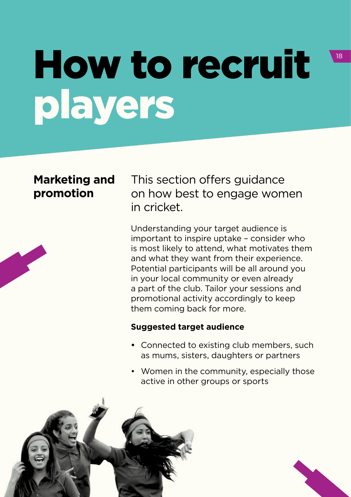## How to recruit players

### **Marketing and promotion**

This section offers guidance on how best to engage women in cricket.

Understanding your target audience is important to inspire uptake – consider who is most likely to attend, what motivates them and what they want from their experience. Potential participants will be all around you in your local community or even already a part of the club. Tailor your sessions and promotional activity accordingly to keep them coming back for more.

#### **Suggested target audience**

- **•** Connected to existing club members, such as mums, sisters, daughters or partners
- Women in the community, especially those active in other groups or sports



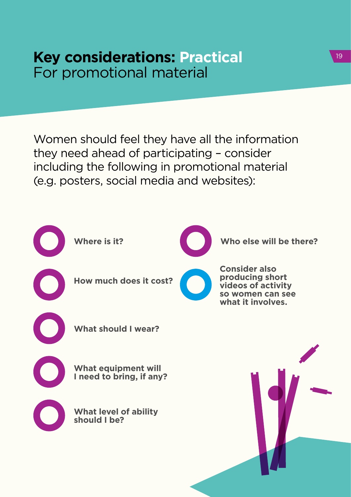### **Key considerations: Practical** For promotional material

Women should feel they have all the information they need ahead of participating – consider including the following in promotional material (e.g. posters, social media and websites):



19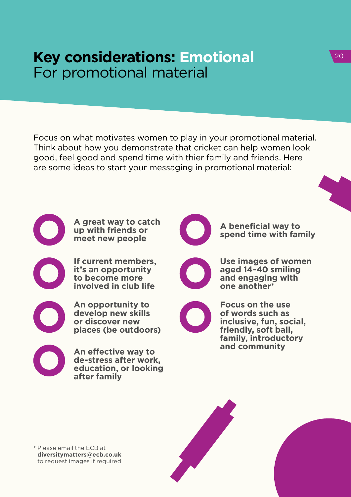## **Key considerations: Emotional** For promotional material

Focus on what motivates women to play in your promotional material. Think about how you demonstrate that cricket can help women look good, feel good and spend time with thier family and friends. Here are some ideas to start your messaging in promotional material:

> **A great way to catch up with friends or meet new people**

**If current members, it's an opportunity to become more involved in club life** 

**An opportunity to develop new skills or discover new places (be outdoors)**

**An effective way to de-stress after work, education, or looking after family**



**A beneficial way to spend time with family**

**Use images of women aged 14-40 smiling and engaging with one another\***



**Focus on the use of words such as inclusive, fun, social, friendly, soft ball, family, introductory and community**

\* Please email the ECB at **diversitymatters@ecb.co.uk** to request images if required

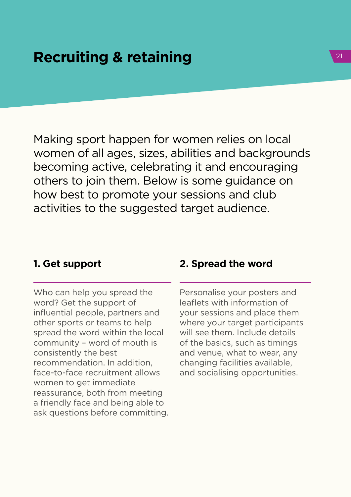## **Recruiting & retaining 21 April 22 April 22 April 21 April 21 April 21 April 22 April 21 April 21 April 21 April 21 April 21 April 21 April 21 April 21 April 21 April 21 April 21 April 21 April 21 April 21 April 21 April**

Making sport happen for women relies on local women of all ages, sizes, abilities and backgrounds becoming active, celebrating it and encouraging others to join them. Below is some guidance on how best to promote your sessions and club activities to the suggested target audience.

#### **1. Get support**

Who can help you spread the word? Get the support of influential people, partners and other sports or teams to help spread the word within the local community – word of mouth is consistently the best recommendation. In addition, face-to-face recruitment allows women to get immediate reassurance, both from meeting a friendly face and being able to ask questions before committing.

#### **2. Spread the word**

Personalise your posters and leaflets with information of your sessions and place them where your target participants will see them. Include details of the basics, such as timings and venue, what to wear, any changing facilities available, and socialising opportunities.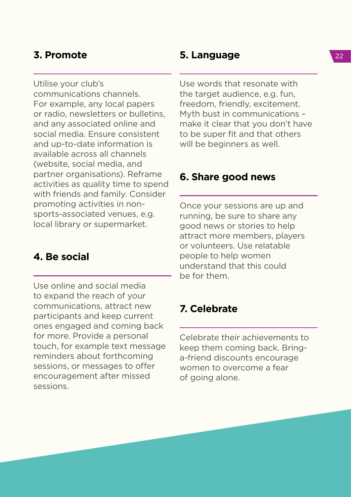#### **3. Promote**

Utilise your club's

communications channels. For example, any local papers or radio, newsletters or bulletins, and any associated online and social media. Ensure consistent and up-to-date information is available across all channels (website, social media, and partner organisations). Reframe activities as quality time to spend with friends and family. Consider promoting activities in nonsports-associated venues, e.g. local library or supermarket.

#### **4. Be social**

Use online and social media to expand the reach of your communications, attract new participants and keep current ones engaged and coming back for more. Provide a personal touch, for example text message reminders about forthcoming sessions, or messages to offer encouragement after missed sessions.

#### **5. Language**

Use words that resonate with the target audience, e.g. fun, freedom, friendly, excitement. Myth bust in communications – make it clear that you don't have to be super fit and that others will be beginners as well.

#### **6. Share good news**

Once your sessions are up and running, be sure to share any good news or stories to help attract more members, players or volunteers. Use relatable people to help women understand that this could be for them.

#### **7. Celebrate**

Celebrate their achievements to keep them coming back. Bringa-friend discounts encourage women to overcome a fear of going alone.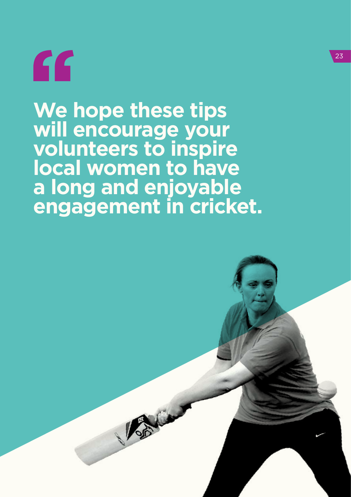"

**We hope these tips will encourage your volunteers to inspire local women to have a long and enjoyable engagement in cricket.**

Brie

23